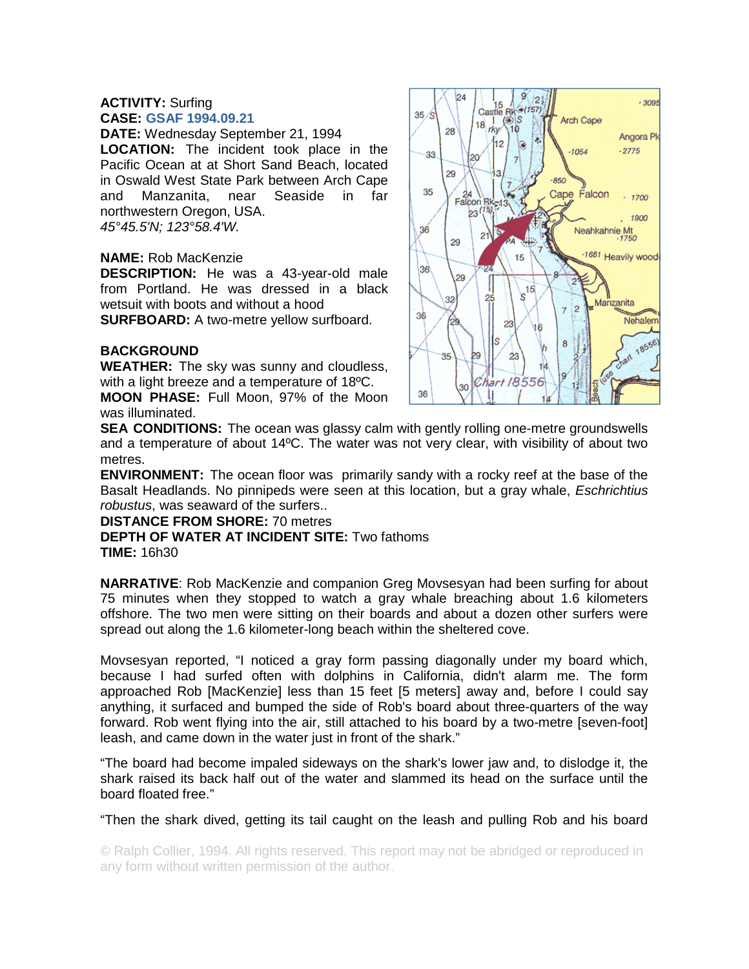#### **ACTIVITY:** Surfing **CASE: GSAF 1994.09.21**

**DATE:** Wednesday September 21, 1994

**LOCATION:** The incident took place in the Pacific Ocean at at Short Sand Beach, located in Oswald West State Park between Arch Cape<br>and Manzanita, near Seaside in far and Manzanita, near Seaside in far northwestern Oregon, USA. *45°45.5'N; 123°58.4'W.* 

## **NAME:** Rob MacKenzie

**DESCRIPTION:** He was a 43-year-old male from Portland. He was dressed in a black wetsuit with boots and without a hood **SURFBOARD:** A two-metre vellow surfboard.

## **BACKGROUND**

**WEATHER:** The sky was sunny and cloudless, with a light breeze and a temperature of 18ºC. **MOON PHASE:** Full Moon, 97% of the Moon

was illuminated.



**SEA CONDITIONS:** The ocean was glassy calm with gently rolling one-metre groundswells and a temperature of about 14ºC. The water was not very clear, with visibility of about two metres.

**ENVIRONMENT:** The ocean floor was primarily sandy with a rocky reef at the base of the Basalt Headlands. No pinnipeds were seen at this location, but a gray whale, *Eschrichtius robustus*, was seaward of the surfers..

#### **DISTANCE FROM SHORE:** 70 metres

# **DEPTH OF WATER AT INCIDENT SITE:** Two fathoms

**TIME:** 16h30

**NARRATIVE**: Rob MacKenzie and companion Greg Movsesyan had been surfing for about 75 minutes when they stopped to watch a gray whale breaching about 1.6 kilometers offshore. The two men were sitting on their boards and about a dozen other surfers were spread out along the 1.6 kilometer-long beach within the sheltered cove.

Movsesyan reported, "I noticed a gray form passing diagonally under my board which, because I had surfed often with dolphins in California, didn't alarm me. The form approached Rob [MacKenzie] less than 15 feet [5 meters] away and, before I could say anything, it surfaced and bumped the side of Rob's board about three-quarters of the way forward. Rob went flying into the air, still attached to his board by a two-metre [seven-foot] leash, and came down in the water just in front of the shark."

"The board had become impaled sideways on the shark's lower jaw and, to dislodge it, the shark raised its back half out of the water and slammed its head on the surface until the board floated free."

"Then the shark dived, getting its tail caught on the leash and pulling Rob and his board

© Ralph Collier, 1994. All rights reserved. This report may not be abridged or reproduced in any form without written permission of the author.